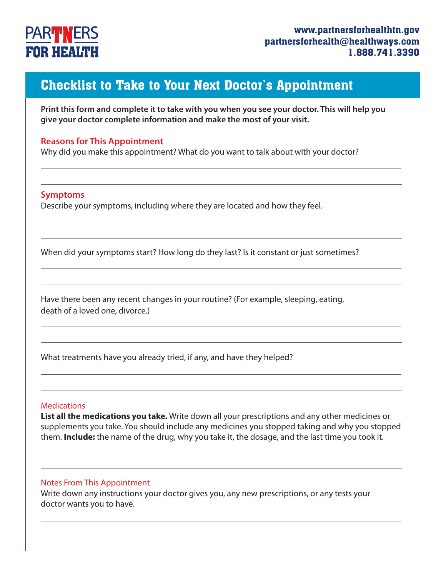## **PART NERS FOR HEALTH**

### Checklist to Take to Your Next Doctor's Appointment

**Print this form and complete it to take with you when you see your doctor. This will help you give your doctor complete information and make the most of your visit.**

#### **Reasons for This Appointment**

Why did you make this appointment? What do you want to talk about with your doctor?

#### **Symptoms**

Describe your symptoms, including where they are located and how they feel.

When did your symptoms start? How long do they last? Is it constant or just sometimes?

Have there been any recent changes in your routine? (For example, sleeping, eating, death of a loved one, divorce.)

What treatments have you already tried, if any, and have they helped?

#### **Medications**

**List all the medications you take.** Write down all your prescriptions and any other medicines or supplements you take. You should include any medicines you stopped taking and why you stopped them. **Include:** the name of the drug, why you take it, the dosage, and the last time you took it.

#### Notes From This Appointment

Write down any instructions your doctor gives you, any new prescriptions, or any tests your doctor wants you to have.